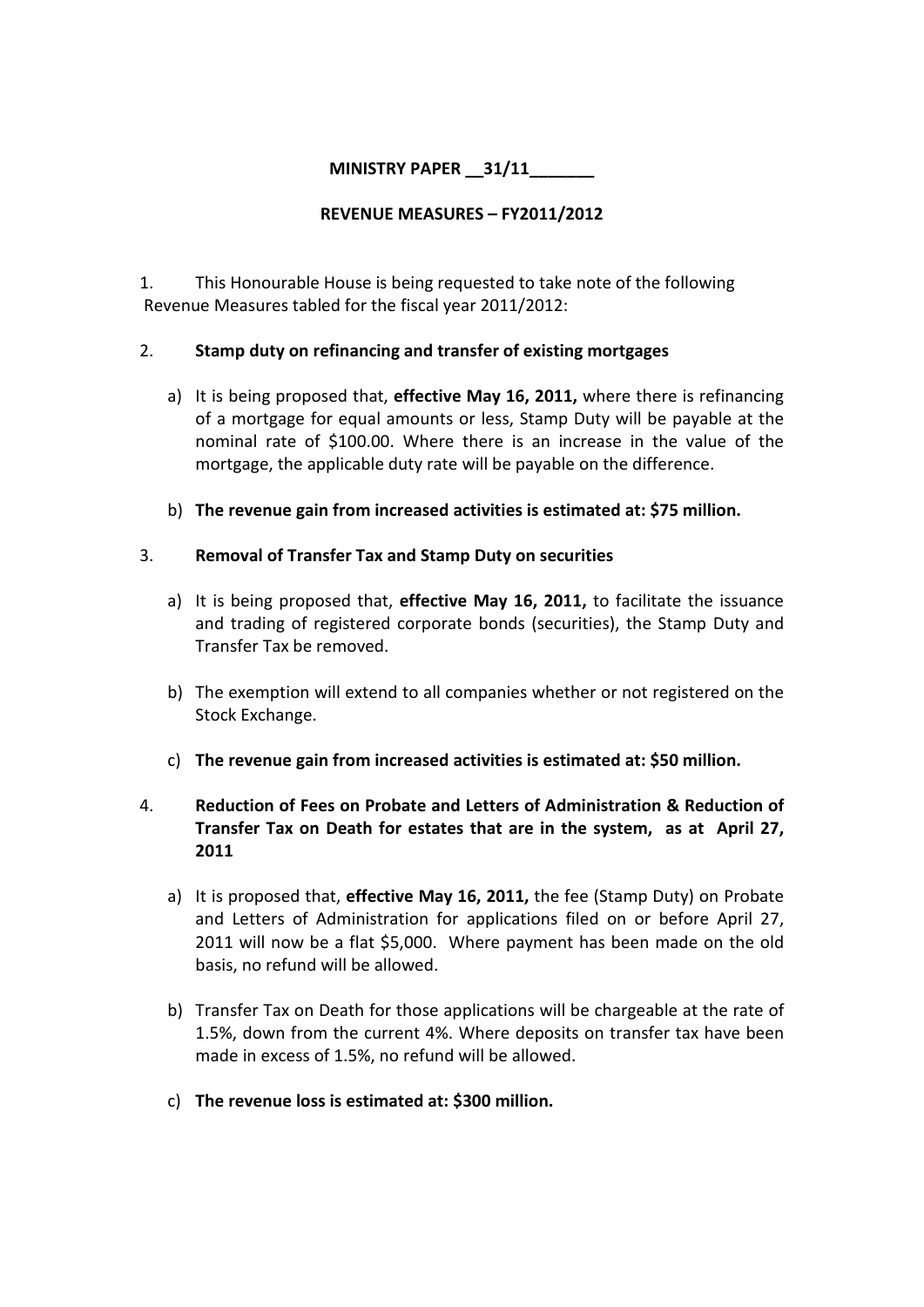# MINISTRY PAPER 31/11

#### REVENUE MEASURES – FY2011/2012

1. This Honourable House is being requested to take note of the following Revenue Measures tabled for the fiscal year 2011/2012:

### 2. Stamp duty on refinancing and transfer of existing mortgages

- a) It is being proposed that, effective May 16, 2011, where there is refinancing of a mortgage for equal amounts or less, Stamp Duty will be payable at the nominal rate of \$100.00. Where there is an increase in the value of the mortgage, the applicable duty rate will be payable on the difference.
- b) The revenue gain from increased activities is estimated at: \$75 million.

#### 3. Removal of Transfer Tax and Stamp Duty on securities

- a) It is being proposed that, effective May 16, 2011, to facilitate the issuance and trading of registered corporate bonds (securities), the Stamp Duty and Transfer Tax be removed.
- b) The exemption will extend to all companies whether or not registered on the Stock Exchange.
- c) The revenue gain from increased activities is estimated at: \$50 million.

## 4. Reduction of Fees on Probate and Letters of Administration & Reduction of Transfer Tax on Death for estates that are in the system, as at April 27, 2011

- a) It is proposed that, effective May 16, 2011, the fee (Stamp Duty) on Probate and Letters of Administration for applications filed on or before April 27, 2011 will now be a flat \$5,000. Where payment has been made on the old basis, no refund will be allowed.
- b) Transfer Tax on Death for those applications will be chargeable at the rate of 1.5%, down from the current 4%. Where deposits on transfer tax have been made in excess of 1.5%, no refund will be allowed.
- c) The revenue loss is estimated at: \$300 million.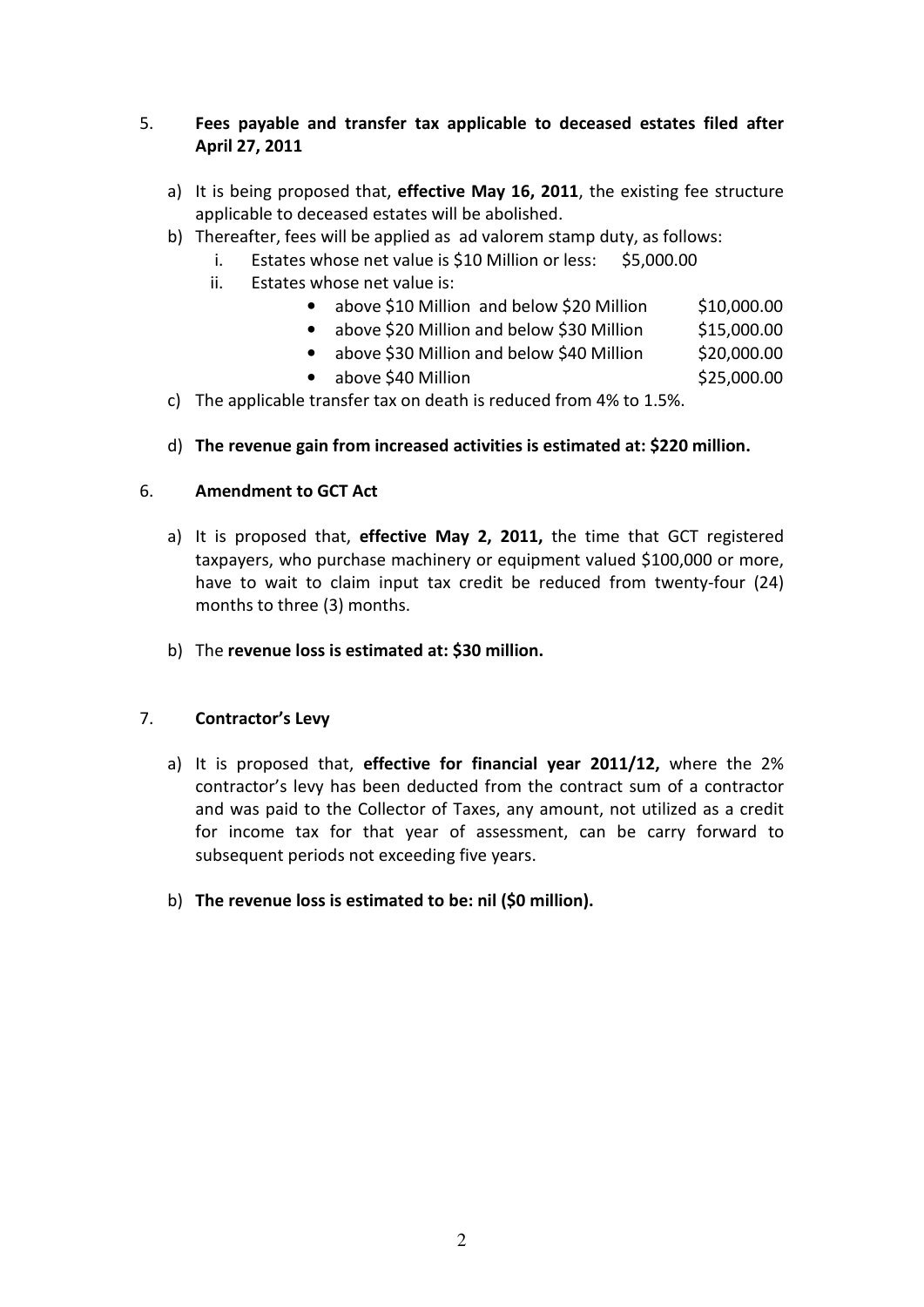# 5. Fees payable and transfer tax applicable to deceased estates filed after April 27, 2011

- a) It is being proposed that, effective May 16, 2011, the existing fee structure applicable to deceased estates will be abolished.
- b) Thereafter, fees will be applied as ad valorem stamp duty, as follows:
	- i. Estates whose net value is \$10 Million or less: \$5,000.00
	- ii. Estates whose net value is:
		- above \$10 Million and below \$20 Million \$10,000.00
		- above \$20 Million and below \$30 Million  $$15,000.00$
		- above \$30 Million and below \$40 Million \$20,000.00
		- $\bullet$  above \$40 Million  $$25,000.00$
- c) The applicable transfer tax on death is reduced from 4% to 1.5%.
- d) The revenue gain from increased activities is estimated at: \$220 million.

#### 6. Amendment to GCT Act

- a) It is proposed that, effective May 2, 2011, the time that GCT registered taxpayers, who purchase machinery or equipment valued \$100,000 or more, have to wait to claim input tax credit be reduced from twenty-four (24) months to three (3) months.
- b) The revenue loss is estimated at: \$30 million.

### 7. Contractor's Levy

- a) It is proposed that, effective for financial year 2011/12, where the 2% contractor's levy has been deducted from the contract sum of a contractor and was paid to the Collector of Taxes, any amount, not utilized as a credit for income tax for that year of assessment, can be carry forward to subsequent periods not exceeding five years.
- b) The revenue loss is estimated to be: nil (\$0 million).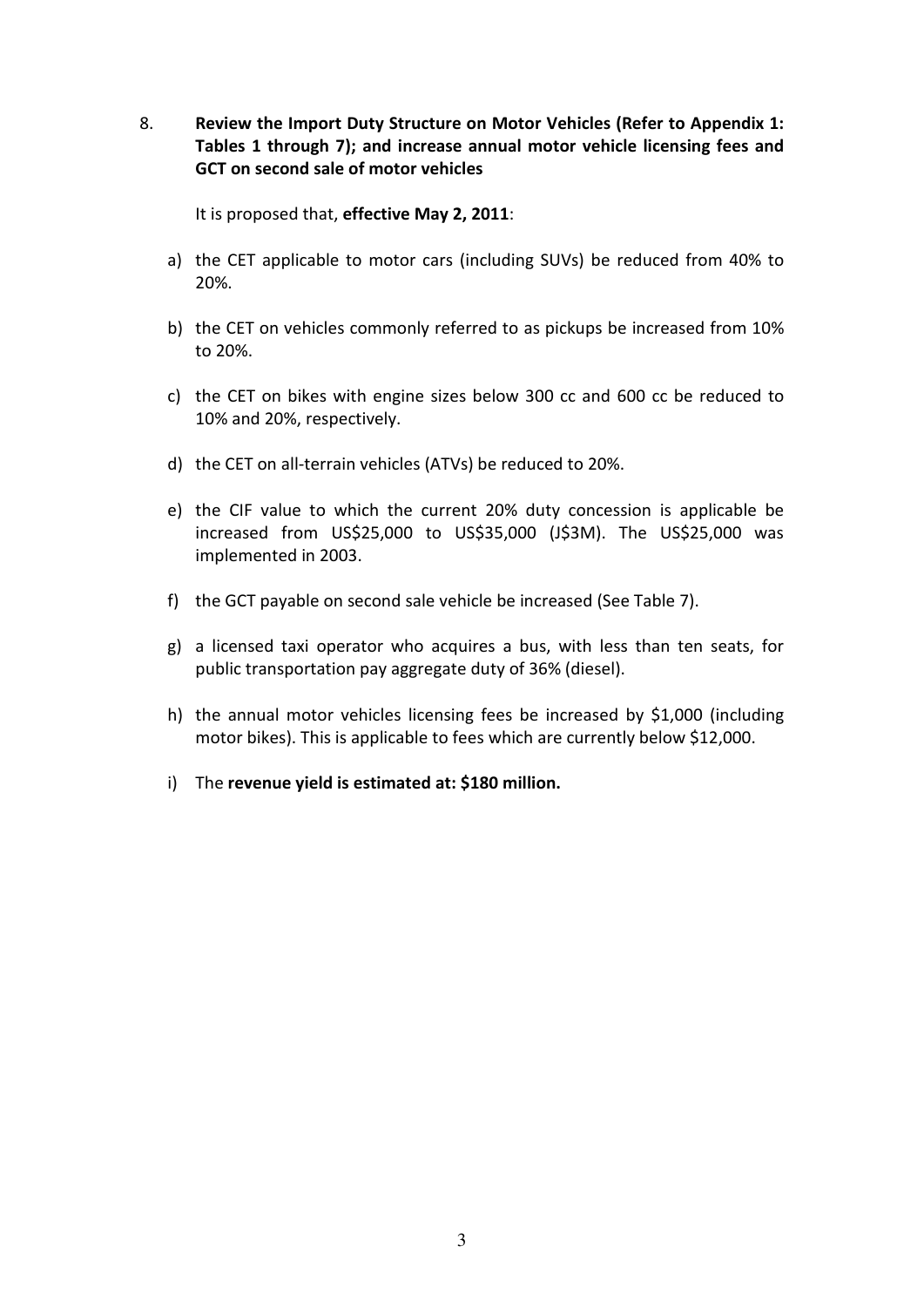8. Review the Import Duty Structure on Motor Vehicles (Refer to Appendix 1: Tables 1 through 7); and increase annual motor vehicle licensing fees and GCT on second sale of motor vehicles

It is proposed that, effective May 2, 2011:

- a) the CET applicable to motor cars (including SUVs) be reduced from 40% to 20%.
- b) the CET on vehicles commonly referred to as pickups be increased from 10% to 20%.
- c) the CET on bikes with engine sizes below 300 cc and 600 cc be reduced to 10% and 20%, respectively.
- d) the CET on all-terrain vehicles (ATVs) be reduced to 20%.
- e) the CIF value to which the current 20% duty concession is applicable be increased from US\$25,000 to US\$35,000 (J\$3M). The US\$25,000 was implemented in 2003.
- f) the GCT payable on second sale vehicle be increased (See Table 7).
- g) a licensed taxi operator who acquires a bus, with less than ten seats, for public transportation pay aggregate duty of 36% (diesel).
- h) the annual motor vehicles licensing fees be increased by \$1,000 (including motor bikes). This is applicable to fees which are currently below \$12,000.
- i) The revenue yield is estimated at: \$180 million.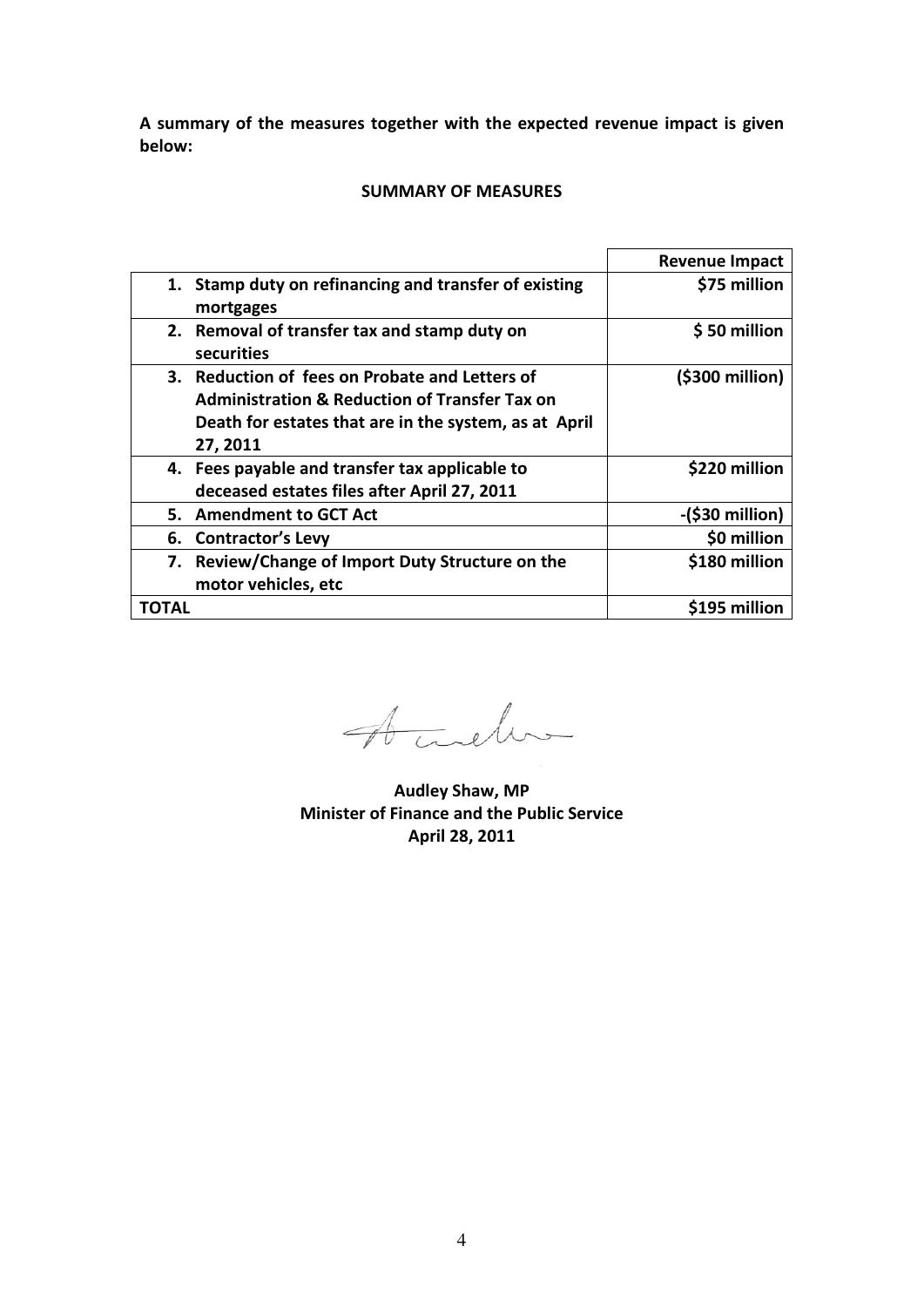A summary of the measures together with the expected revenue impact is given below:

#### SUMMARY OF MEASURES

|       |                                                                    | <b>Revenue Impact</b> |
|-------|--------------------------------------------------------------------|-----------------------|
|       | 1. Stamp duty on refinancing and transfer of existing<br>mortgages | \$75 million          |
|       | 2. Removal of transfer tax and stamp duty on<br>securities         | \$50 million          |
|       | 3. Reduction of fees on Probate and Letters of                     | (\$300 million)       |
|       | <b>Administration &amp; Reduction of Transfer Tax on</b>           |                       |
|       | Death for estates that are in the system, as at April              |                       |
|       | 27, 2011                                                           |                       |
|       | 4. Fees payable and transfer tax applicable to                     | \$220 million         |
|       | deceased estates files after April 27, 2011                        |                       |
|       | 5. Amendment to GCT Act                                            | $-($30 million)$      |
|       | 6. Contractor's Levy                                               | \$0 million           |
| 7.    | Review/Change of Import Duty Structure on the                      | \$180 million         |
|       | motor vehicles, etc                                                |                       |
| TOTAL |                                                                    | \$195 million         |

Acceler

Audley Shaw, MP Minister of Finance and the Public Service April 28, 2011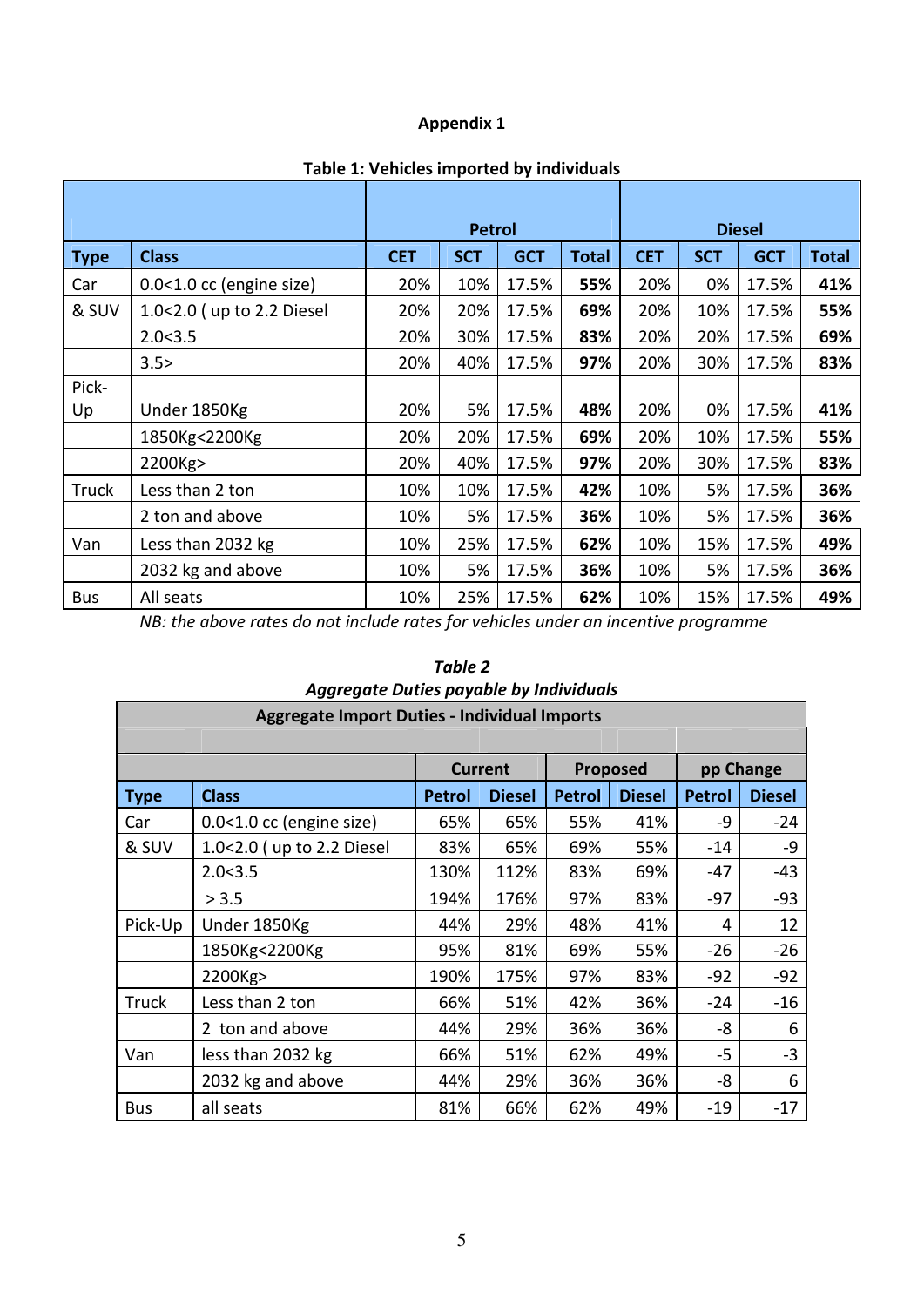# Appendix 1

|              |                           |            | <b>Petrol</b> | <b>Diesel</b> |              |            |            |            |              |  |
|--------------|---------------------------|------------|---------------|---------------|--------------|------------|------------|------------|--------------|--|
|              |                           |            |               |               |              |            |            |            |              |  |
| <b>Type</b>  | <b>Class</b>              | <b>CET</b> | <b>SCT</b>    | <b>GCT</b>    | <b>Total</b> | <b>CET</b> | <b>SCT</b> | <b>GCT</b> | <b>Total</b> |  |
| Car          | 0.0<1.0 cc (engine size)  | 20%        | 10%           | 17.5%         | 55%          | 20%        | 0%         | 17.5%      | 41%          |  |
| & SUV        | 1.0<2.0 (up to 2.2 Diesel | 20%        | 20%           | 17.5%         | 69%          | 20%        | 10%        | 17.5%      | 55%          |  |
|              | 2.0<3.5                   | 20%        | 30%           | 17.5%         | 83%          | 20%        | 20%        | 17.5%      | 69%          |  |
|              | 3.5>                      | 20%        | 40%           | 17.5%         | 97%          | 20%        | 30%        | 17.5%      | 83%          |  |
| Pick-        |                           |            |               |               |              |            |            |            |              |  |
| Up           | Under 1850Kg              | 20%        | 5%            | 17.5%         | 48%          | 20%        | 0%         | 17.5%      | 41%          |  |
|              | 1850Kg<2200Kg             | 20%        | 20%           | 17.5%         | 69%          | 20%        | 10%        | 17.5%      | 55%          |  |
|              | 2200Kg>                   | 20%        | 40%           | 17.5%         | 97%          | 20%        | 30%        | 17.5%      | 83%          |  |
| <b>Truck</b> | Less than 2 ton           | 10%        | 10%           | 17.5%         | 42%          | 10%        | 5%         | 17.5%      | 36%          |  |
|              | 2 ton and above           | 10%        | 5%            | 17.5%         | 36%          | 10%        | 5%         | 17.5%      | 36%          |  |
| Van          | Less than 2032 kg         | 10%        | 25%           | 17.5%         | 62%          | 10%        | 15%        | 17.5%      | 49%          |  |
|              | 2032 kg and above         | 10%        | 5%            | 17.5%         | 36%          | 10%        | 5%         | 17.5%      | 36%          |  |
| <b>Bus</b>   | All seats                 | 10%        | 25%           | 17.5%         | 62%          | 10%        | 15%        | 17.5%      | 49%          |  |

# Table 1: Vehicles imported by individuals

NB: the above rates do not include rates for vehicles under an incentive programme

| Aggregate Duties payable by Individuals             |                           |               |                |               |               |               |               |  |  |
|-----------------------------------------------------|---------------------------|---------------|----------------|---------------|---------------|---------------|---------------|--|--|
| <b>Aggregate Import Duties - Individual Imports</b> |                           |               |                |               |               |               |               |  |  |
|                                                     |                           |               |                |               |               |               |               |  |  |
|                                                     |                           |               | <b>Current</b> |               | Proposed      | pp Change     |               |  |  |
| <b>Type</b>                                         | <b>Class</b>              | <b>Petrol</b> | <b>Diesel</b>  | <b>Petrol</b> | <b>Diesel</b> | <b>Petrol</b> | <b>Diesel</b> |  |  |
| Car                                                 | 0.0<1.0 cc (engine size)  | 65%           | 65%            | 55%           | 41%           | -9            | $-24$         |  |  |
| & SUV                                               | 1.0<2.0 (up to 2.2 Diesel | 83%           | 65%            | 69%           | 55%           | $-14$         | -9            |  |  |
|                                                     | 2.0<3.5                   | 130%          | 112%           | 83%           | 69%           | -47           | -43           |  |  |
|                                                     | > 3.5                     | 194%          | 176%           | 97%           | 83%           | $-97$         | $-93$         |  |  |
| Pick-Up                                             | Under 1850Kg              | 44%           | 29%            | 48%           | 41%           | 4             | 12            |  |  |
|                                                     | 1850Kg<2200Kg             | 95%           | 81%            | 69%           | 55%           | $-26$         | $-26$         |  |  |
|                                                     | 2200Kg>                   | 190%          | 175%           | 97%           | 83%           | $-92$         | $-92$         |  |  |
| Truck                                               | Less than 2 ton           | 66%           | 51%            | 42%           | 36%           | $-24$         | $-16$         |  |  |
|                                                     | 2 ton and above           | 44%           | 29%            | 36%           | 36%           | -8            | 6             |  |  |
| Van                                                 | less than 2032 kg         | 66%           | 51%            | 62%           | 49%           | $-5$          | $-3$          |  |  |
|                                                     | 2032 kg and above         | 44%           | 29%            | 36%           | 36%           | -8            | 6             |  |  |
| <b>Bus</b>                                          | all seats                 | 81%           | 66%            | 62%           | 49%           | $-19$         | $-17$         |  |  |

# Table 2 Aggregate Duties payable by Individuals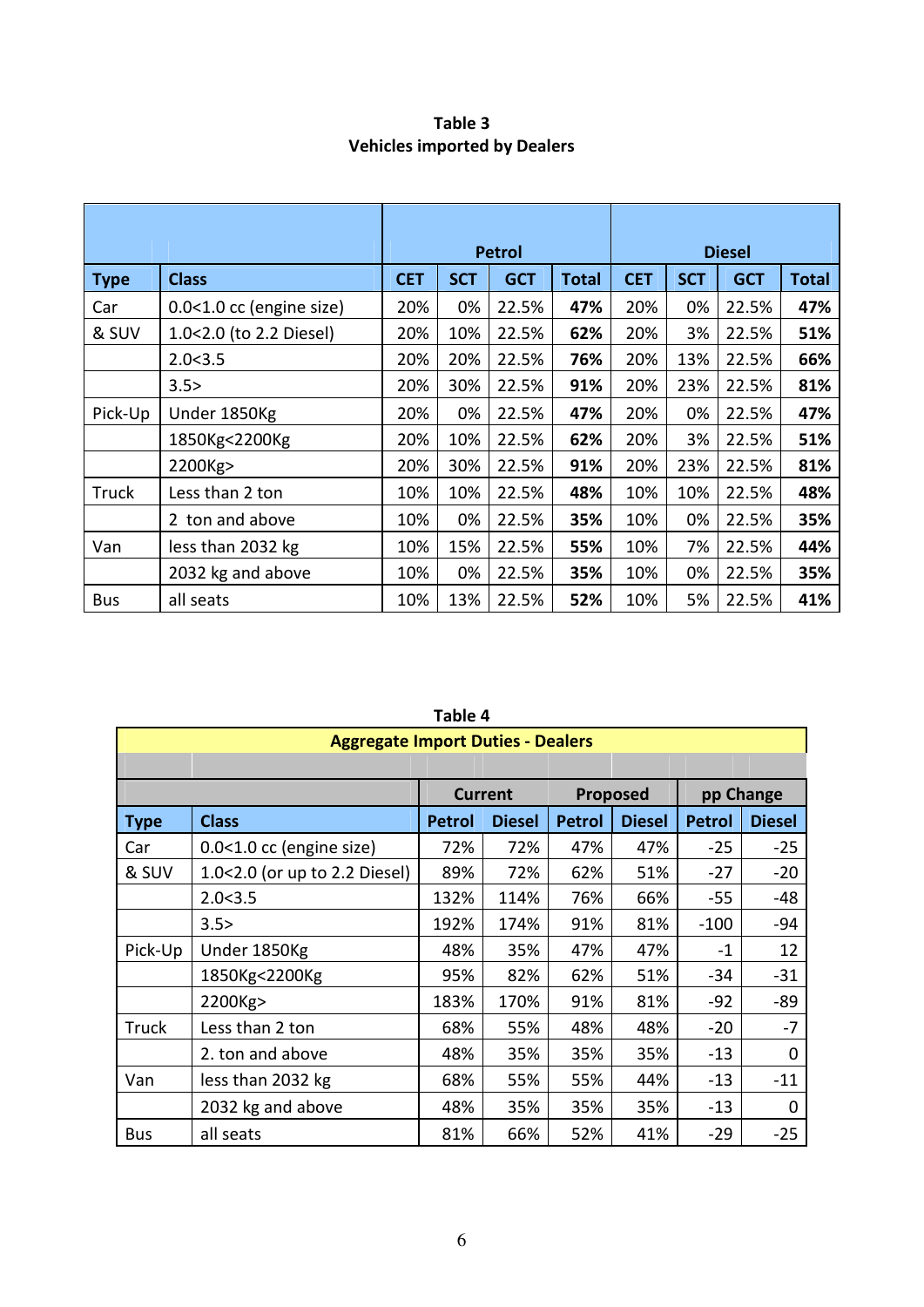| Table 3 |                                     |
|---------|-------------------------------------|
|         | <b>Vehicles imported by Dealers</b> |

|              |                            |            |            | <b>Petrol</b> |              | <b>Diesel</b> |            |            |              |
|--------------|----------------------------|------------|------------|---------------|--------------|---------------|------------|------------|--------------|
| <b>Type</b>  | <b>Class</b>               | <b>CET</b> | <b>SCT</b> | <b>GCT</b>    | <b>Total</b> | <b>CET</b>    | <b>SCT</b> | <b>GCT</b> | <b>Total</b> |
| Car          | $0.0<1.0$ cc (engine size) | 20%        | 0%         | 22.5%         | 47%          | 20%           | 0%         | 22.5%      | 47%          |
| & SUV        | 1.0<2.0 (to 2.2 Diesel)    | 20%        | 10%        | 22.5%         | 62%          | 20%           | 3%         | 22.5%      | 51%          |
|              | 2.0<3.5                    | 20%        | 20%        | 22.5%         | 76%          | 20%           | 13%        | 22.5%      | 66%          |
|              | 3.5>                       | 20%        | 30%        | 22.5%         | 91%          | 20%           | 23%        | 22.5%      | 81%          |
| Pick-Up      | Under 1850Kg               | 20%        | 0%         | 22.5%         | 47%          | 20%           | 0%         | 22.5%      | 47%          |
|              | 1850Kg<2200Kg              | 20%        | 10%        | 22.5%         | 62%          | 20%           | 3%         | 22.5%      | 51%          |
|              | 2200Kg>                    | 20%        | 30%        | 22.5%         | 91%          | 20%           | 23%        | 22.5%      | 81%          |
| <b>Truck</b> | Less than 2 ton            | 10%        | 10%        | 22.5%         | 48%          | 10%           | 10%        | 22.5%      | 48%          |
|              | 2 ton and above            | 10%        | 0%         | 22.5%         | 35%          | 10%           | 0%         | 22.5%      | 35%          |
| Van          | less than 2032 kg          | 10%        | 15%        | 22.5%         | 55%          | 10%           | 7%         | 22.5%      | 44%          |
|              | 2032 kg and above          | 10%        | 0%         | 22.5%         | 35%          | 10%           | 0%         | 22.5%      | 35%          |
| <b>Bus</b>   | all seats                  | 10%        | 13%        | 22.5%         | 52%          | 10%           | 5%         | 22.5%      | 41%          |

|              | Table 4                                  |               |                |               |               |               |               |  |  |
|--------------|------------------------------------------|---------------|----------------|---------------|---------------|---------------|---------------|--|--|
|              | <b>Aggregate Import Duties - Dealers</b> |               |                |               |               |               |               |  |  |
|              |                                          |               |                |               |               |               |               |  |  |
|              |                                          |               | <b>Current</b> |               | Proposed      | pp Change     |               |  |  |
| <b>Type</b>  | <b>Class</b>                             | <b>Petrol</b> | <b>Diesel</b>  | <b>Petrol</b> | <b>Diesel</b> | <b>Petrol</b> | <b>Diesel</b> |  |  |
| Car          | 0.0<1.0 cc (engine size)                 | 72%           | 72%            | 47%           | 47%           | $-25$         | $-25$         |  |  |
| & SUV        | 1.0<2.0 (or up to 2.2 Diesel)            | 89%           | 72%            | 62%           | 51%           | $-27$         | $-20$         |  |  |
|              | 2.0<3.5                                  | 132%          | 114%           | 76%           | 66%           | $-55$         | -48           |  |  |
|              | 3.5>                                     | 192%          | 174%           | 91%           | 81%           | $-100$        | $-94$         |  |  |
| Pick-Up      | Under 1850Kg                             | 48%           | 35%            | 47%           | 47%           | $-1$          | 12            |  |  |
|              | 1850Kg<2200Kg                            | 95%           | 82%            | 62%           | 51%           | $-34$         | $-31$         |  |  |
|              | 2200Kg>                                  | 183%          | 170%           | 91%           | 81%           | $-92$         | -89           |  |  |
| <b>Truck</b> | Less than 2 ton                          | 68%           | 55%            | 48%           | 48%           | $-20$         | $-7$          |  |  |
|              | 2. ton and above                         | 48%           | 35%            | 35%           | 35%           | $-13$         | 0             |  |  |
| Van          | less than 2032 kg                        | 68%           | 55%            | 55%           | 44%           | $-13$         | $-11$         |  |  |
|              | 2032 kg and above                        | 48%           | 35%            | 35%           | 35%           | $-13$         | 0             |  |  |
| <b>Bus</b>   | all seats                                | 81%           | 66%            | 52%           | 41%           | $-29$         | $-25$         |  |  |